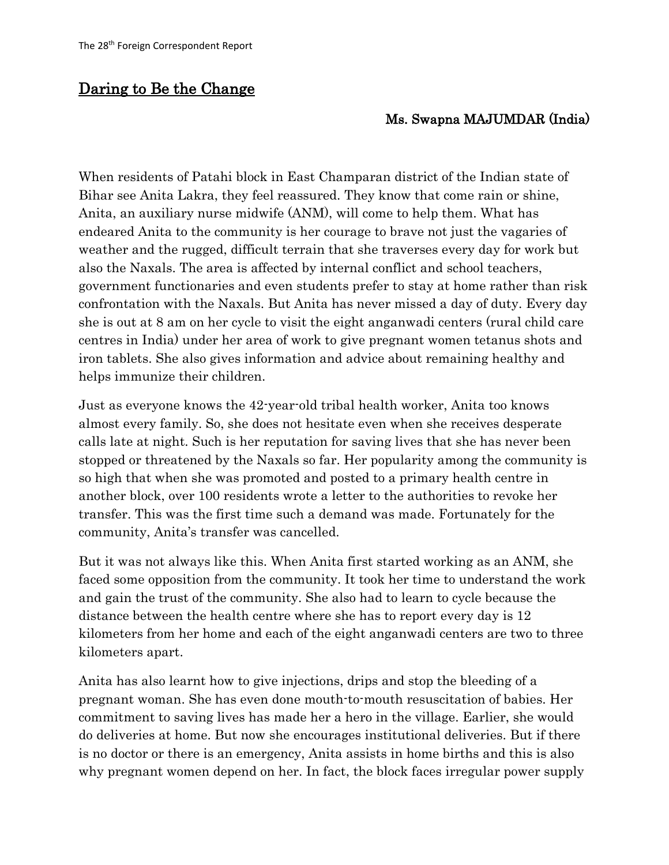## Daring to Be the Change

## Ms. Swapna MAJUMDAR (India)

When residents of Patahi block in East Champaran district of the Indian state of Bihar see Anita Lakra, they feel reassured. They know that come rain or shine, Anita, an auxiliary nurse midwife (ANM), will come to help them. What has endeared Anita to the community is her courage to brave not just the vagaries of weather and the rugged, difficult terrain that she traverses every day for work but also the Naxals. The area is affected by internal conflict and school teachers, government functionaries and even students prefer to stay at home rather than risk confrontation with the Naxals. But Anita has never missed a day of duty. Every day she is out at 8 am on her cycle to visit the eight anganwadi centers (rural child care centres in India) under her area of work to give pregnant women tetanus shots and iron tablets. She also gives information and advice about remaining healthy and helps immunize their children.

Just as everyone knows the 42-year-old tribal health worker, Anita too knows almost every family. So, she does not hesitate even when she receives desperate calls late at night. Such is her reputation for saving lives that she has never been stopped or threatened by the Naxals so far. Her popularity among the community is so high that when she was promoted and posted to a primary health centre in another block, over 100 residents wrote a letter to the authorities to revoke her transfer. This was the first time such a demand was made. Fortunately for the community, Anita's transfer was cancelled.

But it was not always like this. When Anita first started working as an ANM, she faced some opposition from the community. It took her time to understand the work and gain the trust of the community. She also had to learn to cycle because the distance between the health centre where she has to report every day is 12 kilometers from her home and each of the eight anganwadi centers are two to three kilometers apart.

Anita has also learnt how to give injections, drips and stop the bleeding of a pregnant woman. She has even done mouth-to-mouth resuscitation of babies. Her commitment to saving lives has made her a hero in the village. Earlier, she would do deliveries at home. But now she encourages institutional deliveries. But if there is no doctor or there is an emergency, Anita assists in home births and this is also why pregnant women depend on her. In fact, the block faces irregular power supply